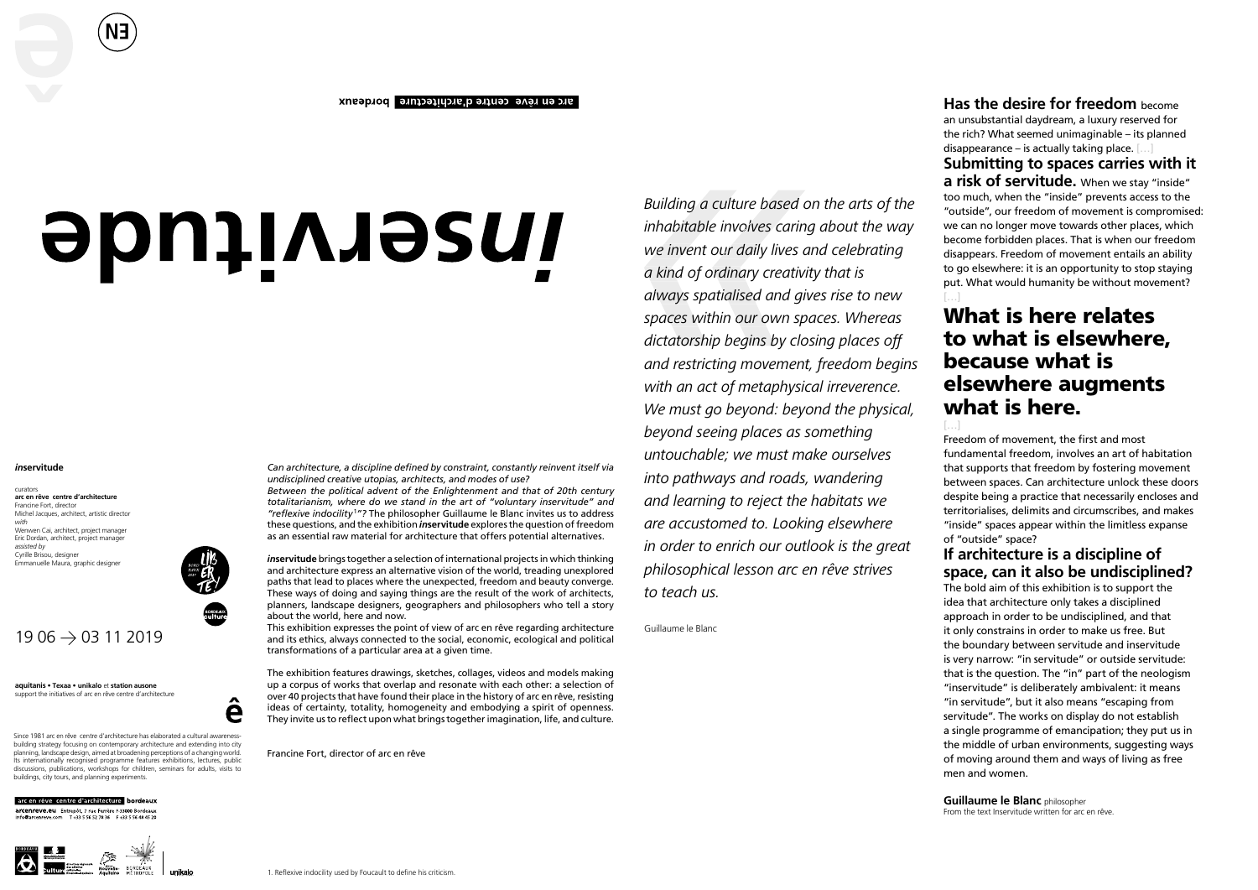## arc en rêve centre d'architecture bordeaux

# **Journal Smith**

### *in***servitude**

curators **arc en rêve centre d'architecture** Francine Fort, director Michel Jacques, architect, artistic director *with* Wenwen Cai, architect, project manager Eric Dordan, architect, project manager *assisted by* Cyrille Brisou, designer Emmanuelle Maura, graphic designer

**aquitanis • Texaa • unikalo** et **station ausone** support the initiatives of arc en rêve centre d'architecture

Since 1981 arc en rêve centre d'architecture has elaborated a cultural awarenessbuilding strategy focusing on contemporary architecture and extending into city planning, landscape design, aimed at broadening perceptions of a changing world. Its internationally recognised programme features exhibitions, lectures, public discussions, publications, workshops for children, seminars for adults, visits to buildings, city tours, and planning experiments.

# arc en rêve centre d'architecture bordeaux

**arcenreve.eu** Entrepôt, 7 rue Ferrère F-33000 Bordeaux<br>info@arcenreve.com T+33 5 56 52 78 36 F+33 5 56 48 45 20



*Can architecture, a discipline defined by constraint, constantly reinvent itself via undisciplined creative utopias, architects, and modes of use?* 

*Between the political advent of the Enlightenment and that of 20th century totalitarianism, where do we stand in the art of "voluntary inservitude" and "reflexive indocility* <sup>1</sup>*"?* The philosopher Guillaume le Blanc invites us to address these questions, and the exhibition *in***servitude** explores the question of freedom as an essential raw material for architecture that offers potential alternatives.

*in***servitude** brings together a selection of international projects in which thinking and architecture express an alternative vision of the world, treading unexplored paths that lead to places where the unexpected, freedom and beauty converge. These ways of doing and saying things are the result of the work of architects, planners, landscape designers, geographers and philosophers who tell a story about the world, here and now.

This exhibition expresses the point of view of arc en rêve regarding architecture and its ethics, always connected to the social, economic, ecological and political transformations of a particular area at a given time.

The exhibition features drawings, sketches, collages, videos and models making up a corpus of works that overlap and resonate with each other: a selection of over 40 projects that have found their place in the history of arc en rêve, resisting ideas of certainty, totality, homogeneity and embodying a spirit of openness. They invite us to reflect upon what brings together imagination, life, and culture.

Francine Fort, director of arc en rêve

**Has the desire for freedom** become an unsubstantial daydream, a luxury reserved for the rich? What seemed unimaginable – its planned disappearance – is actually taking place. […]

**Submitting to spaces carries with it a risk of servitude.** When we stay "inside" too much, when the "inside" prevents access to the "outside", our freedom of movement is compromised: we can no longer move towards other places, which become forbidden places. That is when our freedom disappears. Freedom of movement entails an ability to go elsewhere: it is an opportunity to stop staying put. What would humanity be without movement?

# What is here relates to what is elsewhere, because what is elsewhere augments what is here.

[…]

Freedom of movement, the first and most fundamental freedom, involves an art of habitation that supports that freedom by fostering movement between spaces. Can architecture unlock these doors despite being a practice that necessarily encloses and territorialises, delimits and circumscribes, and makes "inside" spaces appear within the limitless expanse of "outside" space?

**If architecture is a discipline of space, can it also be undisciplined?** 

The bold aim of this exhibition is to support the idea that architecture only takes a disciplined approach in order to be undisciplined, and that it only constrains in order to make us free. But the boundary between servitude and inservitude is very narrow: "in servitude" or outside servitude: that is the question. The "in" part of the neologism "inservitude" is deliberately ambivalent: it means "in servitude", but it also means "escaping from servitude". The works on display do not establish a single programme of emancipation; they put us in the middle of urban environments, suggesting ways of moving around them and ways of living as free men and women.

**Guillaume le Blanc** philosopher From the text Inservitude written for arc en rêve.

*Building a culture based on the arts of the inhabitable involves caring about the way we invent our daily lives and celebrating a kind of ordinary creativity that is always spatialised and gives rise to new spaces within our own spaces. Whereas dictatorship begins by closing places off and restricting movement, freedom begins with an act of metaphysical irreverence. We must go beyond: beyond the physical, beyond seeing places as something untouchable; we must make ourselves into pathways and roads, wandering and learning to reject the habitats we are accustomed to. Looking elsewhere in order to enrich our outlook is the great philosophical lesson arc en rêve strives to teach us.* 

Guillaume le Blanc

**EN**



e